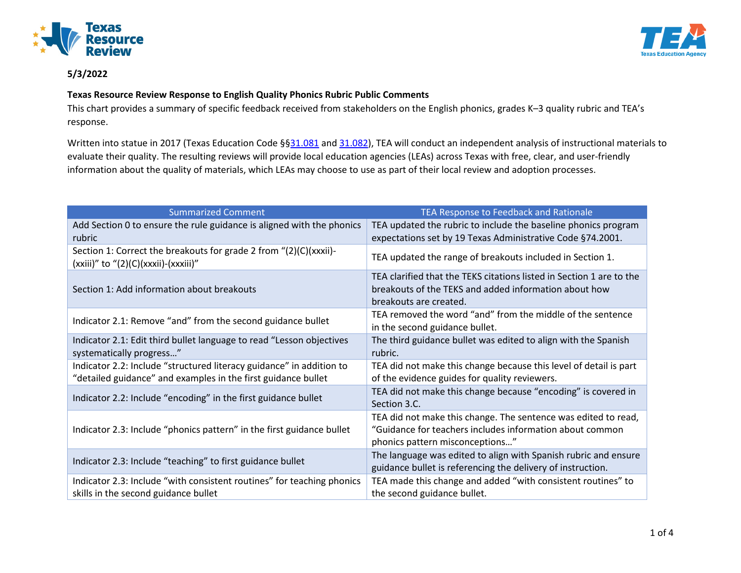



## **5/3/2022**

## **Texas Resource Review Response to English Quality Phonics Rubric Public Comments**

This chart provides a summary of specific feedback received from stakeholders on the English phonics, grades K–3 quality rubric and TEA's response.

Written into statue in 2017 (Texas Education Code §[§31.081](https://statutes.capitol.texas.gov/Docs/ED/htm/ED.31.htm#31.081) an[d 31.082\)](https://statutes.capitol.texas.gov/Docs/ED/htm/ED.31.htm#31.082), TEA will conduct an independent analysis of instructional materials to evaluate their quality. The resulting reviews will provide local education agencies (LEAs) across Texas with free, clear, and user-friendly information about the quality of materials, which LEAs may choose to use as part of their local review and adoption processes.

| <b>Summarized Comment</b>                                                                                           | TEA Response to Feedback and Rationale                                                                                                                        |
|---------------------------------------------------------------------------------------------------------------------|---------------------------------------------------------------------------------------------------------------------------------------------------------------|
| Add Section 0 to ensure the rule guidance is aligned with the phonics<br>rubric                                     | TEA updated the rubric to include the baseline phonics program<br>expectations set by 19 Texas Administrative Code §74.2001.                                  |
| Section 1: Correct the breakouts for grade 2 from "(2)(C)(xxxii)-<br>$(xxiii)''$ to " $(2)(C)(xxxi)$ - $(xxxiii)''$ | TEA updated the range of breakouts included in Section 1.                                                                                                     |
| Section 1: Add information about breakouts                                                                          | TEA clarified that the TEKS citations listed in Section 1 are to the<br>breakouts of the TEKS and added information about how<br>breakouts are created.       |
| Indicator 2.1: Remove "and" from the second guidance bullet                                                         | TEA removed the word "and" from the middle of the sentence<br>in the second guidance bullet.                                                                  |
| Indicator 2.1: Edit third bullet language to read "Lesson objectives<br>systematically progress"                    | The third guidance bullet was edited to align with the Spanish<br>rubric.                                                                                     |
| Indicator 2.2: Include "structured literacy guidance" in addition to                                                | TEA did not make this change because this level of detail is part                                                                                             |
| "detailed guidance" and examples in the first guidance bullet                                                       | of the evidence guides for quality reviewers.                                                                                                                 |
| Indicator 2.2: Include "encoding" in the first guidance bullet                                                      | TEA did not make this change because "encoding" is covered in<br>Section 3.C.                                                                                 |
| Indicator 2.3: Include "phonics pattern" in the first guidance bullet                                               | TEA did not make this change. The sentence was edited to read,<br>"Guidance for teachers includes information about common<br>phonics pattern misconceptions" |
| Indicator 2.3: Include "teaching" to first guidance bullet                                                          | The language was edited to align with Spanish rubric and ensure<br>guidance bullet is referencing the delivery of instruction.                                |
| Indicator 2.3: Include "with consistent routines" for teaching phonics                                              | TEA made this change and added "with consistent routines" to                                                                                                  |
| skills in the second guidance bullet                                                                                | the second guidance bullet.                                                                                                                                   |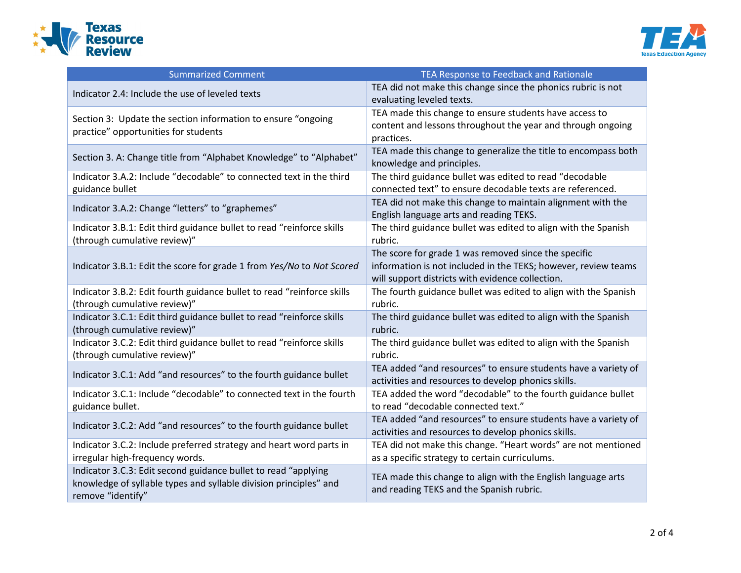



| <b>Summarized Comment</b>                                                                                                                                | TEA Response to Feedback and Rationale                                                                                                                                     |
|----------------------------------------------------------------------------------------------------------------------------------------------------------|----------------------------------------------------------------------------------------------------------------------------------------------------------------------------|
| Indicator 2.4: Include the use of leveled texts                                                                                                          | TEA did not make this change since the phonics rubric is not<br>evaluating leveled texts.                                                                                  |
| Section 3: Update the section information to ensure "ongoing<br>practice" opportunities for students                                                     | TEA made this change to ensure students have access to<br>content and lessons throughout the year and through ongoing<br>practices.                                        |
| Section 3. A: Change title from "Alphabet Knowledge" to "Alphabet"                                                                                       | TEA made this change to generalize the title to encompass both<br>knowledge and principles.                                                                                |
| Indicator 3.A.2: Include "decodable" to connected text in the third<br>guidance bullet                                                                   | The third guidance bullet was edited to read "decodable<br>connected text" to ensure decodable texts are referenced.                                                       |
| Indicator 3.A.2: Change "letters" to "graphemes"                                                                                                         | TEA did not make this change to maintain alignment with the<br>English language arts and reading TEKS.                                                                     |
| Indicator 3.B.1: Edit third guidance bullet to read "reinforce skills<br>(through cumulative review)"                                                    | The third guidance bullet was edited to align with the Spanish<br>rubric.                                                                                                  |
| Indicator 3.B.1: Edit the score for grade 1 from Yes/No to Not Scored                                                                                    | The score for grade 1 was removed since the specific<br>information is not included in the TEKS; however, review teams<br>will support districts with evidence collection. |
| Indicator 3.B.2: Edit fourth guidance bullet to read "reinforce skills<br>(through cumulative review)"                                                   | The fourth guidance bullet was edited to align with the Spanish<br>rubric.                                                                                                 |
| Indicator 3.C.1: Edit third guidance bullet to read "reinforce skills<br>(through cumulative review)"                                                    | The third guidance bullet was edited to align with the Spanish<br>rubric.                                                                                                  |
| Indicator 3.C.2: Edit third guidance bullet to read "reinforce skills<br>(through cumulative review)"                                                    | The third guidance bullet was edited to align with the Spanish<br>rubric.                                                                                                  |
| Indicator 3.C.1: Add "and resources" to the fourth guidance bullet                                                                                       | TEA added "and resources" to ensure students have a variety of<br>activities and resources to develop phonics skills.                                                      |
| Indicator 3.C.1: Include "decodable" to connected text in the fourth<br>guidance bullet.                                                                 | TEA added the word "decodable" to the fourth guidance bullet<br>to read "decodable connected text."                                                                        |
| Indicator 3.C.2: Add "and resources" to the fourth guidance bullet                                                                                       | TEA added "and resources" to ensure students have a variety of<br>activities and resources to develop phonics skills.                                                      |
| Indicator 3.C.2: Include preferred strategy and heart word parts in<br>irregular high-frequency words.                                                   | TEA did not make this change. "Heart words" are not mentioned<br>as a specific strategy to certain curriculums.                                                            |
| Indicator 3.C.3: Edit second guidance bullet to read "applying<br>knowledge of syllable types and syllable division principles" and<br>remove "identify" | TEA made this change to align with the English language arts<br>and reading TEKS and the Spanish rubric.                                                                   |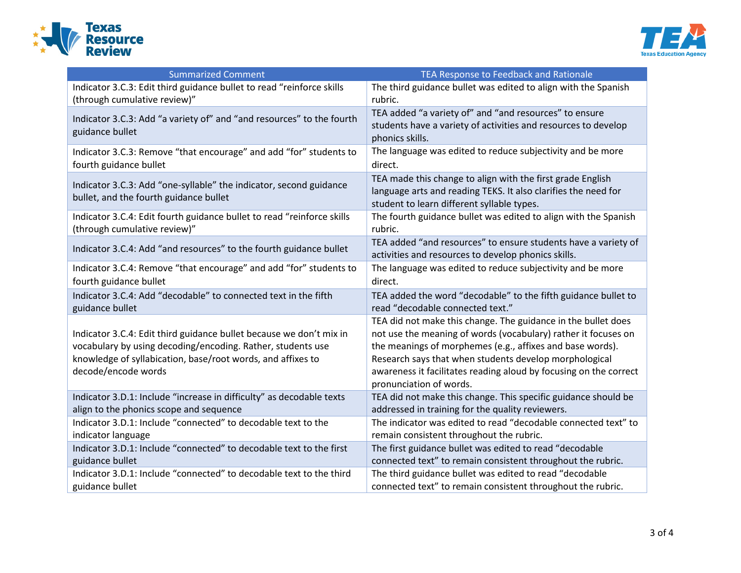



| <b>Summarized Comment</b>                                                                                                                                                                                                | TEA Response to Feedback and Rationale                                                                                                                                                                                                                                                                                                                 |
|--------------------------------------------------------------------------------------------------------------------------------------------------------------------------------------------------------------------------|--------------------------------------------------------------------------------------------------------------------------------------------------------------------------------------------------------------------------------------------------------------------------------------------------------------------------------------------------------|
| Indicator 3.C.3: Edit third guidance bullet to read "reinforce skills                                                                                                                                                    | The third guidance bullet was edited to align with the Spanish                                                                                                                                                                                                                                                                                         |
| (through cumulative review)"                                                                                                                                                                                             | rubric.                                                                                                                                                                                                                                                                                                                                                |
| Indicator 3.C.3: Add "a variety of" and "and resources" to the fourth<br>guidance bullet                                                                                                                                 | TEA added "a variety of" and "and resources" to ensure<br>students have a variety of activities and resources to develop<br>phonics skills.                                                                                                                                                                                                            |
| Indicator 3.C.3: Remove "that encourage" and add "for" students to                                                                                                                                                       | The language was edited to reduce subjectivity and be more                                                                                                                                                                                                                                                                                             |
| fourth guidance bullet                                                                                                                                                                                                   | direct.                                                                                                                                                                                                                                                                                                                                                |
| Indicator 3.C.3: Add "one-syllable" the indicator, second guidance<br>bullet, and the fourth guidance bullet                                                                                                             | TEA made this change to align with the first grade English<br>language arts and reading TEKS. It also clarifies the need for<br>student to learn different syllable types.                                                                                                                                                                             |
| Indicator 3.C.4: Edit fourth guidance bullet to read "reinforce skills                                                                                                                                                   | The fourth guidance bullet was edited to align with the Spanish                                                                                                                                                                                                                                                                                        |
| (through cumulative review)"                                                                                                                                                                                             | rubric.                                                                                                                                                                                                                                                                                                                                                |
| Indicator 3.C.4: Add "and resources" to the fourth guidance bullet                                                                                                                                                       | TEA added "and resources" to ensure students have a variety of<br>activities and resources to develop phonics skills.                                                                                                                                                                                                                                  |
| Indicator 3.C.4: Remove "that encourage" and add "for" students to                                                                                                                                                       | The language was edited to reduce subjectivity and be more                                                                                                                                                                                                                                                                                             |
| fourth guidance bullet                                                                                                                                                                                                   | direct.                                                                                                                                                                                                                                                                                                                                                |
| Indicator 3.C.4: Add "decodable" to connected text in the fifth                                                                                                                                                          | TEA added the word "decodable" to the fifth guidance bullet to                                                                                                                                                                                                                                                                                         |
| guidance bullet                                                                                                                                                                                                          | read "decodable connected text."                                                                                                                                                                                                                                                                                                                       |
| Indicator 3.C.4: Edit third guidance bullet because we don't mix in<br>vocabulary by using decoding/encoding. Rather, students use<br>knowledge of syllabication, base/root words, and affixes to<br>decode/encode words | TEA did not make this change. The guidance in the bullet does<br>not use the meaning of words (vocabulary) rather it focuses on<br>the meanings of morphemes (e.g., affixes and base words).<br>Research says that when students develop morphological<br>awareness it facilitates reading aloud by focusing on the correct<br>pronunciation of words. |
| Indicator 3.D.1: Include "increase in difficulty" as decodable texts                                                                                                                                                     | TEA did not make this change. This specific guidance should be                                                                                                                                                                                                                                                                                         |
| align to the phonics scope and sequence                                                                                                                                                                                  | addressed in training for the quality reviewers.                                                                                                                                                                                                                                                                                                       |
| Indicator 3.D.1: Include "connected" to decodable text to the                                                                                                                                                            | The indicator was edited to read "decodable connected text" to                                                                                                                                                                                                                                                                                         |
| indicator language                                                                                                                                                                                                       | remain consistent throughout the rubric.                                                                                                                                                                                                                                                                                                               |
| Indicator 3.D.1: Include "connected" to decodable text to the first                                                                                                                                                      | The first guidance bullet was edited to read "decodable                                                                                                                                                                                                                                                                                                |
| guidance bullet                                                                                                                                                                                                          | connected text" to remain consistent throughout the rubric.                                                                                                                                                                                                                                                                                            |
| Indicator 3.D.1: Include "connected" to decodable text to the third                                                                                                                                                      | The third guidance bullet was edited to read "decodable                                                                                                                                                                                                                                                                                                |
| guidance bullet                                                                                                                                                                                                          | connected text" to remain consistent throughout the rubric.                                                                                                                                                                                                                                                                                            |